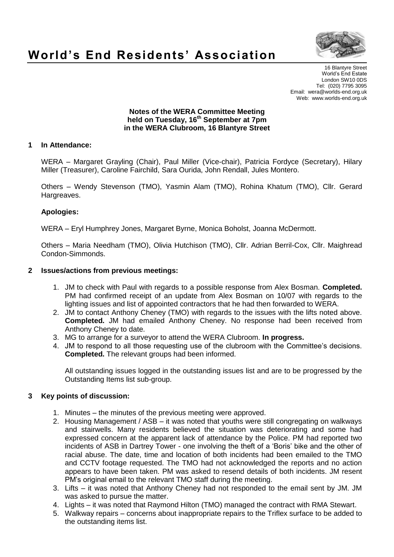

# **World's End Residents' Association**

16 Blantyre Street World's End Estate London SW10 0DS Tel: (020) 7795 3095 Email: wera@worlds-end.org.uk Web: www.worlds-end.org.uk

#### **Notes of the WERA Committee Meeting held on Tuesday, 16th September at 7pm in the WERA Clubroom, 16 Blantyre Street**

### **1 In Attendance:**

WERA – Margaret Grayling (Chair), Paul Miller (Vice-chair), Patricia Fordyce (Secretary), Hilary Miller (Treasurer), Caroline Fairchild, Sara Ourida, John Rendall, Jules Montero.

Others – Wendy Stevenson (TMO), Yasmin Alam (TMO), Rohina Khatum (TMO), Cllr. Gerard Hargreaves.

#### **Apologies:**

WERA – Eryl Humphrey Jones, Margaret Byrne, Monica Boholst, Joanna McDermott.

Others – Maria Needham (TMO), Olivia Hutchison (TMO), Cllr. Adrian Berril-Cox, Cllr. Maighread Condon-Simmonds.

#### **2 Issues/actions from previous meetings:**

- 1. JM to check with Paul with regards to a possible response from Alex Bosman. **Completed.** PM had confirmed receipt of an update from Alex Bosman on 10/07 with regards to the lighting issues and list of appointed contractors that he had then forwarded to WERA.
- 2. JM to contact Anthony Cheney (TMO) with regards to the issues with the lifts noted above. **Completed.** JM had emailed Anthony Cheney. No response had been received from Anthony Cheney to date.
- 3. MG to arrange for a surveyor to attend the WERA Clubroom. **In progress.**
- 4. JM to respond to all those requesting use of the clubroom with the Committee's decisions. **Completed.** The relevant groups had been informed.

All outstanding issues logged in the outstanding issues list and are to be progressed by the Outstanding Items list sub-group.

#### **3 Key points of discussion:**

- 1. Minutes the minutes of the previous meeting were approved.
- 2. Housing Management / ASB it was noted that youths were still congregating on walkways and stairwells. Many residents believed the situation was deteriorating and some had expressed concern at the apparent lack of attendance by the Police. PM had reported two incidents of ASB in Dartrey Tower - one involving the theft of a 'Boris' bike and the other of racial abuse. The date, time and location of both incidents had been emailed to the TMO and CCTV footage requested. The TMO had not acknowledged the reports and no action appears to have been taken. PM was asked to resend details of both incidents. JM resent PM's original email to the relevant TMO staff during the meeting.
- 3. Lifts it was noted that Anthony Cheney had not responded to the email sent by JM. JM was asked to pursue the matter.
- 4. Lights it was noted that Raymond Hilton (TMO) managed the contract with RMA Stewart.
- 5. Walkway repairs concerns about inappropriate repairs to the Triflex surface to be added to the outstanding items list.